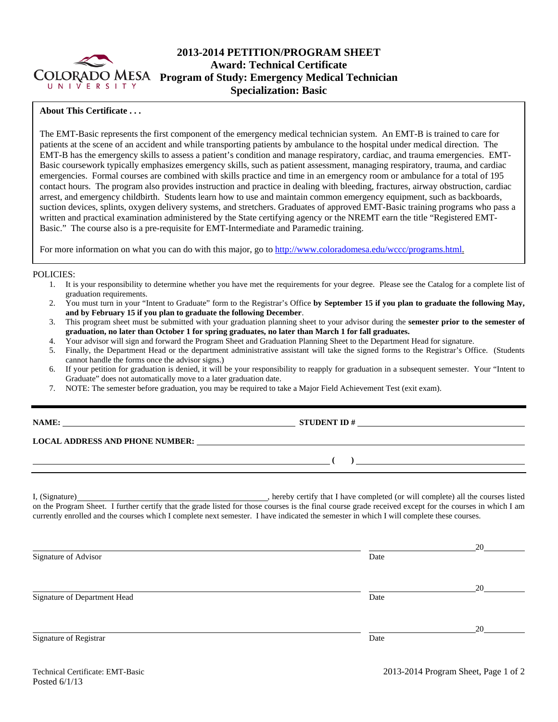

# **2013-2014 PETITION/PROGRAM SHEET Award: Technical Certificate Program of Study: Emergency Medical Technician Specialization: Basic**

### **About This Certificate . . .**

The EMT-Basic represents the first component of the emergency medical technician system. An EMT-B is trained to care for patients at the scene of an accident and while transporting patients by ambulance to the hospital under medical direction. The EMT-B has the emergency skills to assess a patient's condition and manage respiratory, cardiac, and trauma emergencies. EMT-Basic coursework typically emphasizes emergency skills, such as patient assessment, managing respiratory, trauma, and cardiac emergencies. Formal courses are combined with skills practice and time in an emergency room or ambulance for a total of 195 contact hours. The program also provides instruction and practice in dealing with bleeding, fractures, airway obstruction, cardiac arrest, and emergency childbirth. Students learn how to use and maintain common emergency equipment, such as backboards, suction devices, splints, oxygen delivery systems, and stretchers. Graduates of approved EMT-Basic training programs who pass a written and practical examination administered by the State certifying agency or the NREMT earn the title "Registered EMT-Basic." The course also is a pre-requisite for EMT-Intermediate and Paramedic training.

For more information on what you can do with this major, go to http://www.coloradomesa.edu/wccc/programs.html.

#### POLICIES:

- 1. It is your responsibility to determine whether you have met the requirements for your degree. Please see the Catalog for a complete list of graduation requirements.
- 2. You must turn in your "Intent to Graduate" form to the Registrar's Office **by September 15 if you plan to graduate the following May, and by February 15 if you plan to graduate the following December**.
- 3. This program sheet must be submitted with your graduation planning sheet to your advisor during the **semester prior to the semester of graduation, no later than October 1 for spring graduates, no later than March 1 for fall graduates.**
- 4. Your advisor will sign and forward the Program Sheet and Graduation Planning Sheet to the Department Head for signature.
- 5. Finally, the Department Head or the department administrative assistant will take the signed forms to the Registrar's Office. (Students cannot handle the forms once the advisor signs.)
- 6. If your petition for graduation is denied, it will be your responsibility to reapply for graduation in a subsequent semester. Your "Intent to Graduate" does not automatically move to a later graduation date.
- 7. NOTE: The semester before graduation, you may be required to take a Major Field Achievement Test (exit exam).

**STUDENT ID #** 

**LOCAL ADDRESS AND PHONE NUMBER:**

I, (Signature) , hereby certify that I have completed (or will complete) all the courses listed on the Program Sheet. I further certify that the grade listed for those courses is the final course grade received except for the courses in which I am currently enrolled and the courses which I complete next semester. I have indicated the semester in which I will complete these courses.

| Signature of Advisor         | Date | 20 |
|------------------------------|------|----|
|                              |      | 20 |
| Signature of Department Head | Date |    |
| Signature of Registrar       | Date | 20 |

 **( )**